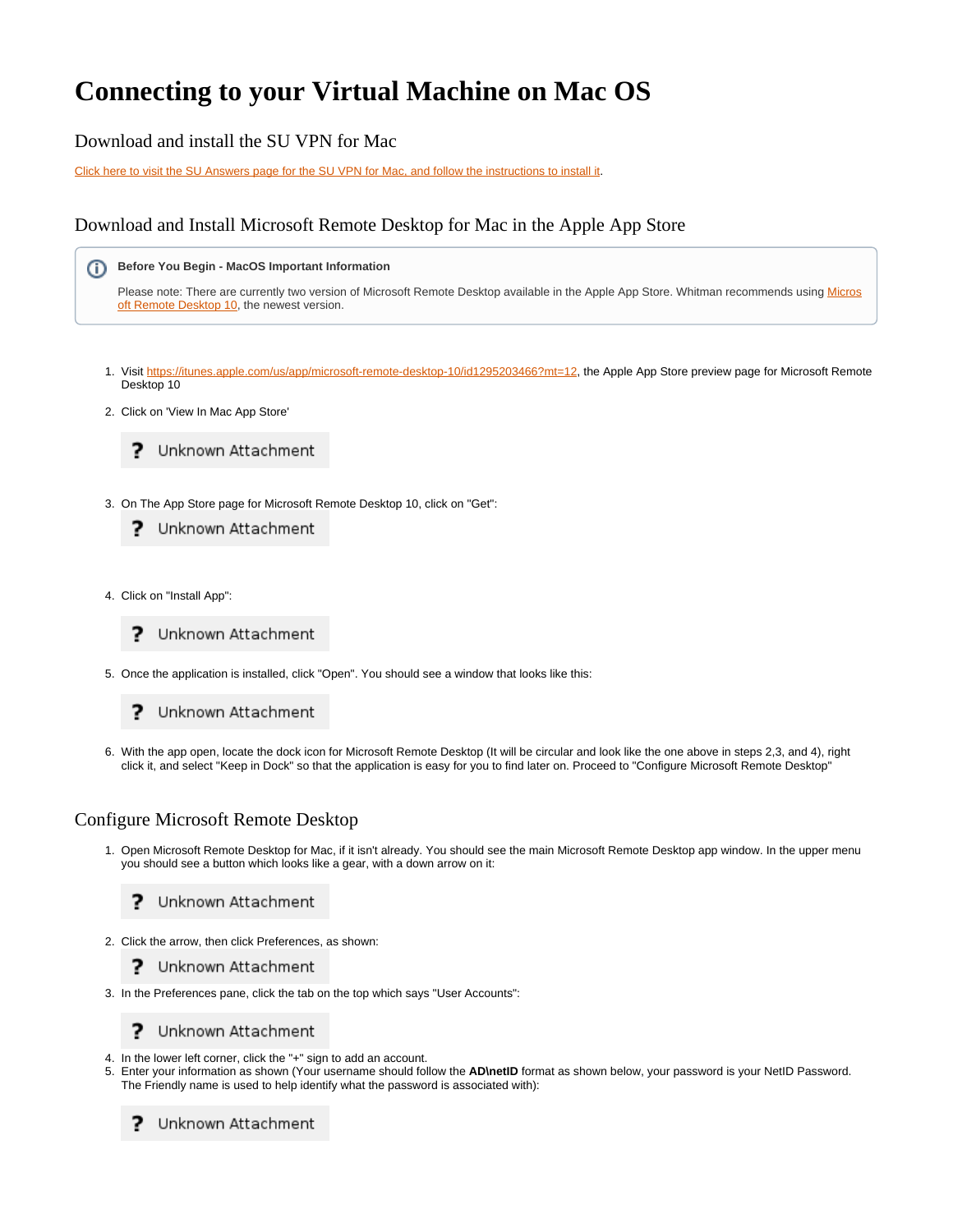## **Connecting to your Virtual Machine on Mac OS**

Download and install the SU VPN for Mac

[Click here to visit the SU Answers page for the SU VPN for Mac, and follow the instructions to install it.](https://answers.syr.edu/pages/viewpage.action?pageId=918229)

## Download and Install Microsoft Remote Desktop for Mac in the Apple App Store

**Before You Begin - MacOS Important Information** ൹

Please note: There are currently two version of [Micros](https://itunes.apple.com/us/app/microsoft-remote-desktop-10/id1295203466?mt=12)oft Remote Desktop available in the Apple App Store. Whitman recommends using Micros [oft Remote Desktop 10](https://itunes.apple.com/us/app/microsoft-remote-desktop-10/id1295203466?mt=12), the newest version.

- 1. Visit [https://itunes.apple.com/us/app/microsoft-remote-desktop-10/id1295203466?mt=12,](https://itunes.apple.com/us/app/microsoft-remote-desktop-10/id1295203466?mt=12) the Apple App Store preview page for Microsoft Remote Desktop 10
- 2. Click on 'View In Mac App Store'



- 3. On The App Store page for Microsoft Remote Desktop 10, click on "Get":
	- Unknown Attachment 2
- 4. Click on "Install App":
	- Unknown Attachment 7
- 5. Once the application is installed, click "Open". You should see a window that looks like this:

? Unknown Attachment

6. With the app open, locate the dock icon for Microsoft Remote Desktop (It will be circular and look like the one above in steps 2,3, and 4), right click it, and select "Keep in Dock" so that the application is easy for you to find later on. Proceed to "Configure Microsoft Remote Desktop"

## Configure Microsoft Remote Desktop

1. Open Microsoft Remote Desktop for Mac, if it isn't already. You should see the main Microsoft Remote Desktop app window. In the upper menu you should see a button which looks like a gear, with a down arrow on it:

Unknown Attachment 7

- 2. Click the arrow, then click Preferences, as shown:
	- 7 Unknown Attachment
- 3. In the Preferences pane, click the tab on the top which says "User Accounts":

Unknown Attachment 7

- 4. In the lower left corner, click the "+" sign to add an account.
- 5. Enter your information as shown (Your username should follow the **AD\netID** format as shown below, your password is your NetID Password. The Friendly name is used to help identify what the password is associated with):

Unknown Attachment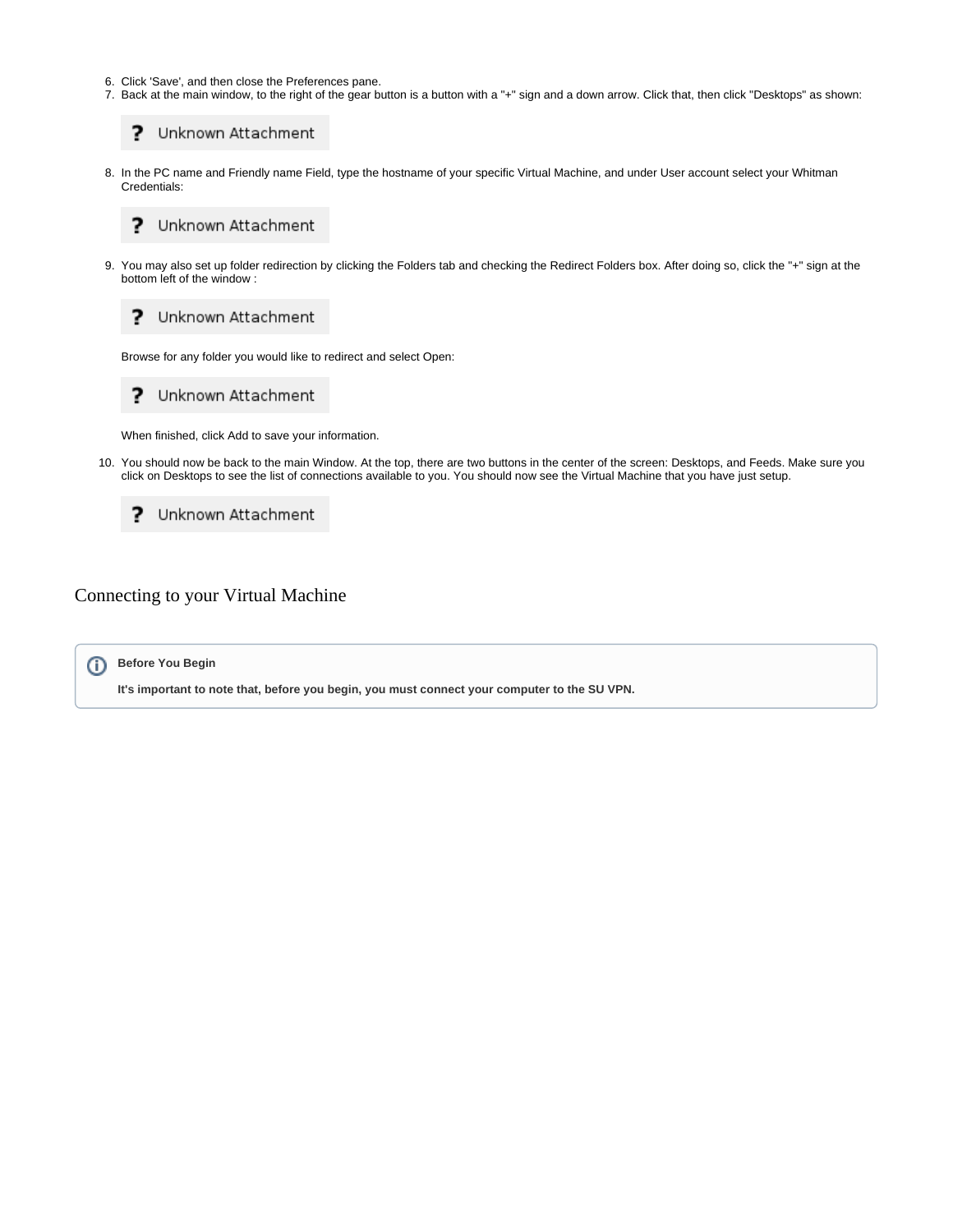- 6. Click 'Save', and then close the Preferences pane.
- 7. Back at the main window, to the right of the gear button is a button with a "+" sign and a down arrow. Click that, then click "Desktops" as shown:

? Unknown Attachment

8. In the PC name and Friendly name Field, type the hostname of your specific Virtual Machine, and under User account select your Whitman Credentials:



9. You may also set up folder redirection by clicking the Folders tab and checking the Redirect Folders box. After doing so, click the "+" sign at the bottom left of the window :

? Unknown Attachment

Browse for any folder you would like to redirect and select Open:

? Unknown Attachment

When finished, click Add to save your information.

10. You should now be back to the main Window. At the top, there are two buttons in the center of the screen: Desktops, and Feeds. Make sure you click on Desktops to see the list of connections available to you. You should now see the Virtual Machine that you have just setup.

? Unknown Attachment

Connecting to your Virtual Machine

ത **Before You Begin**

**It's important to note that, before you begin, you must connect your computer to the SU VPN.**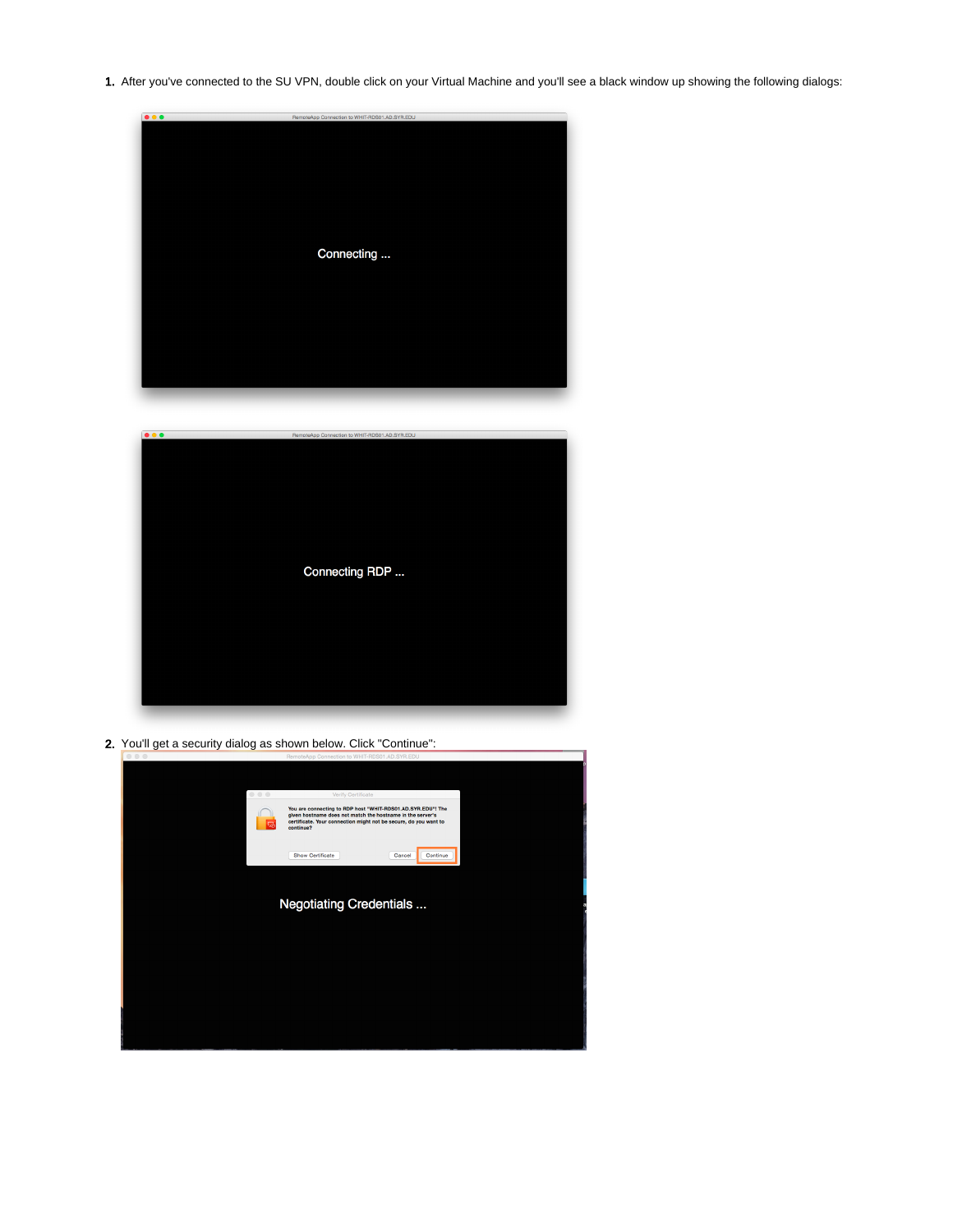1. After you've connected to the SU VPN, double click on your Virtual Machine and you'll see a black window up showing the following dialogs:





2. You'll get a security dialog as shown below. Click "Continue":

| .   | RemoteApp Connection to WHII-RDS01.AD.SYR.EDU                                                                                                                                                              |  |
|-----|------------------------------------------------------------------------------------------------------------------------------------------------------------------------------------------------------------|--|
| 000 | Verify Certificate                                                                                                                                                                                         |  |
|     | You are connecting to RDP host "WHIT-RDS01.AD.SYR.EDU"! The<br>given hostname does not match the hostname in the server's<br>certificate. Your connection might not be secure, do you want to<br>continue? |  |
|     | <b>Show Certificate</b><br>Cancel<br>Continue                                                                                                                                                              |  |
|     |                                                                                                                                                                                                            |  |
|     | <b>Negotiating Credentials </b>                                                                                                                                                                            |  |
|     |                                                                                                                                                                                                            |  |
|     |                                                                                                                                                                                                            |  |
|     |                                                                                                                                                                                                            |  |
|     |                                                                                                                                                                                                            |  |